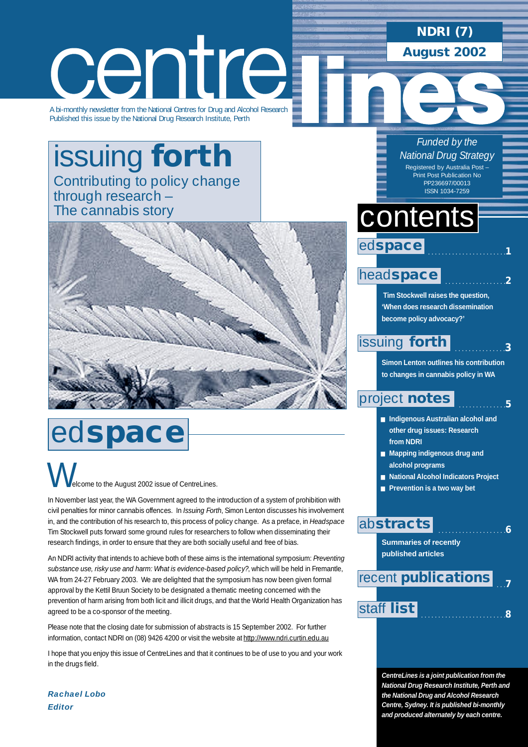# **NDRI (7)**

**August 2002**

# centre

A bi-monthly newsletter from the National Centres for Drug and Alcohol Research Published this issue by the National Drug Research Institute, Perth

# [issuing](#page-2-0) **forth** Contributing to policy change through research – The cannabis story



# ed**space**

elcome to the August 2002 issue of CentreLines.  $\bigvee$ 

In November last year, the WA Government agreed to the introduction of a system of prohibition with civil penalties for minor cannabis offences. In *Issuing Forth*, Simon Lenton discusses his involvement in, and the contribution of his research to, this process of policy change. As a preface, in *Headspace* Tim Stockwell puts forward some ground rules for researchers to follow when disseminating their research findings, in order to ensure that they are both socially useful and free of bias.

An NDRI activity that intends to achieve both of these aims is the international symposium: *Preventing substance use, risky use and harm: What is evidence-based policy?*, which will be held in Fremantle, WA from 24-27 February 2003. We are delighted that the symposium has now been given formal approval by the Kettil Bruun Society to be designated a thematic meeting concerned with the prevention of harm arising from both licit and illicit drugs, and that the World Health Organization has agreed to be a co-sponsor of the meeting.

Please note that the closing date for submission of abstracts is 15 September 2002. For further information, contact NDRI on (08) 9426 4200 or visit the website at<http://www.ndri.curtin.edu.au>

I hope that you enjoy this issue of CentreLines and that it continues to be of use to you and your work in the drugs field.

*Funded by the National Drug Strategy* Registered by Australia Post – Print Post Publication No PP236697/00013 ISSN 1034-7259

. . . . . . . . . . . . . . . . . . . . . . .**1**

. . . . . . . . . . . . . . . . . .**2**

. . . . . . . . . . . . . .**5**

. . . . . . . . . . . . . . . . . . . .**6**

# contents

ed**space**

### head**[space](#page-1-0)**

**Tim Stockwell raises the question, 'When does research dissemination become policy advocacy?'**

#### . . . . . . . . . . . . . . .**3** [issuing](#page-2-0) **forth**

**Simon Lenton outlines his contribution to changes in cannabis policy in WA**

### [project](#page-4-0) **notes**

- **Indigenous Australian alcohol and other drug issues: Research from NDRI**
- Mapping indigenous drug and **alcohol programs**
- **National Alcohol Indicators Project**
- **Prevention is a two way bet**

### ab**[stracts](#page-5-0)**

**Summaries of recently published articles** 



**CentreLines is a joint publication from the National Drug Research Institute, Perth and the National Drug and Alcohol Research Centre, Sydney. It is published bi-monthly and produced alternately by each centre.**

*Rachael Lobo Editor*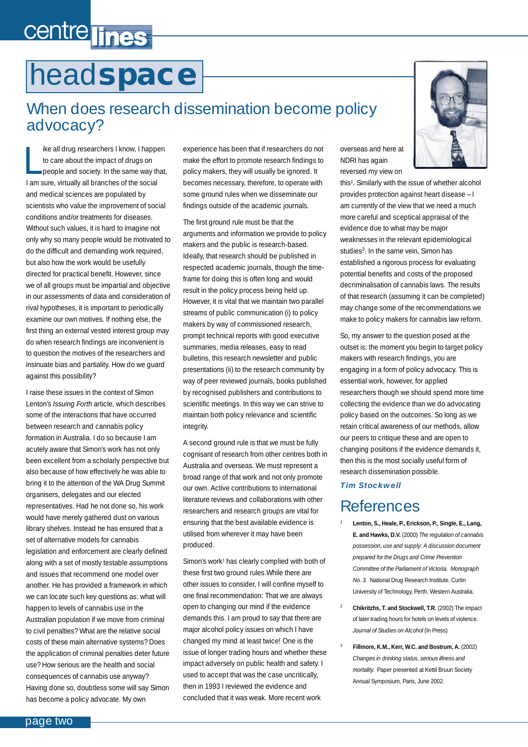# <span id="page-1-0"></span>centre lines

# head**space**

### When does research dissemination become policy advocacy?

I is all drug researchers I know, I happ<br>to care about the impact of drugs on<br>people and society. In the same way the<br>am sure, virtually all branches of the social ike all drug researchers I know, I happen to care about the impact of drugs on people and society. In the same way that, and medical sciences are populated by scientists who value the improvement of social conditions and/or treatments for diseases. Without such values, it is hard to imagine not only why so many people would be motivated to do the difficult and demanding work required, but also how the work would be usefully directed for practical benefit. However, since we of all groups must be impartial and objective in our assessments of data and consideration of rival hypotheses, it is important to periodically examine our own motives. If nothing else, the first thing an external vested interest group may do when research findings are inconvenient is to question the motives of the researchers and insinuate bias and partiality. How do we guard against this possibility?

I raise these issues in the context of Simon Lenton's *Issuing Forth* article, which describes some of the interactions that have occurred between research and cannabis policy formation in Australia. I do so because I am acutely aware that Simon's work has not only been excellent from a scholarly perspective but also because of how effectively he was able to bring it to the attention of the WA Drug Summit organisers, delegates and our elected representatives. Had he not done so, his work would have merely gathered dust on various library shelves. Instead he has ensured that a set of alternative models for cannabis legislation and enforcement are clearly defined along with a set of mostly testable assumptions and issues that recommend one model over another. He has provided a framework in which we can locate such key questions as: what will happen to levels of cannabis use in the Australian population if we move from criminal to civil penalties? What are the relative social costs of these main alternative systems? Does the application of criminal penalties deter future use? How serious are the health and social consequences of cannabis use anyway? Having done so, doubtless some will say Simon has become a policy advocate. My own

experience has been that if researchers do not make the effort to promote research findings to policy makers, they will usually be ignored. It becomes necessary, therefore, to operate with some ground rules when we disseminate our findings outside of the academic journals.

The first ground rule must be that the arguments and information we provide to policy makers and the public is research-based. Ideally, that research should be published in respected academic journals, though the timeframe for doing this is often long and would result in the policy process being held up. However, it is vital that we maintain two parallel streams of public communication (i) to policy makers by way of commissioned research, prompt technical reports with good executive summaries, media releases, easy to read bulletins, this research newsletter and public presentations (ii) to the research community by way of peer reviewed journals, books published by recognised publishers and contributions to scientific meetings. In this way we can strive to maintain both policy relevance and scientific integrity.

A second ground rule is that we must be fully cognisant of research from other centres both in Australia and overseas. We must represent a broad range of that work and not only promote our own. Active contributions to international literature reviews and collaborations with other researchers and research groups are vital for ensuring that the best available evidence is utilised from wherever it may have been produced.

Simon's work<sup>1</sup> has clearly complied with both of these first two ground rules.While there are other issues to consider, I will confine myself to one final recommendation: That we are always open to changing our mind if the evidence demands this. I am proud to say that there are major alcohol policy issues on which I have changed my mind at least twice! One is the issue of longer trading hours and whether these impact adversely on public health and safety. I used to accept that was the case uncritically, then in 1993 I reviewed the evidence and concluded that it was weak. More recent work

overseas and here at NDRI has again reversed my view on

this2. Similarly with the issue of whether alcohol provides protection against heart disease – I am currently of the view that we need a much more careful and sceptical appraisal of the evidence due to what may be major weaknesses in the relevant epidemiological studies<sup>3</sup>. In the same vein, Simon has established a rigorous process for evaluating potential benefits and costs of the proposed decriminalisation of cannabis laws. The results of that research (assuming it can be completed) may change some of the recommendations we make to policy makers for cannabis law reform.

So, my answer to the question posed at the outset is: the moment you begin to target policy makers with research findings, you are engaging in a form of policy advocacy. This is essential work, however, for applied researchers though we should spend more time collecting the evidence than we do advocating policy based on the outcomes. So long as we retain critical awareness of our methods, allow our peers to critique these and are open to changing positions if the evidence demands it, then this is the most socially useful form of research dissemination possible.

#### *Tim Stockwell*

# References

- <sup>1</sup> **Lenton, S., Heale, P., Erickson, P., Single, E., Lang, E. and Hawks, D.V.** (2000) *The regulation of cannabis possession, use and supply: A discussion document prepared for the Drugs and Crime Prevention Committee of the Parliament of Victoria. Monograph No. 3.* National Drug Research Institute, Curtin University of Technology, Perth, Western Australia.
- <sup>2</sup> **Chikritzhs, T. and Stockwell, T.R.** (2002) The impact of later trading hours for hotels on levels of violence. *Journal of Studies on Alcohol* (In Press)
- <sup>3</sup> **Fillmore, K.M., Kerr, W.C. and Bostrum, A.** (2002) *Changes in drinking status, serious illness and mortality.* Paper presented at Kettil Bruun Society Annual Symposium, Paris, June 2002.

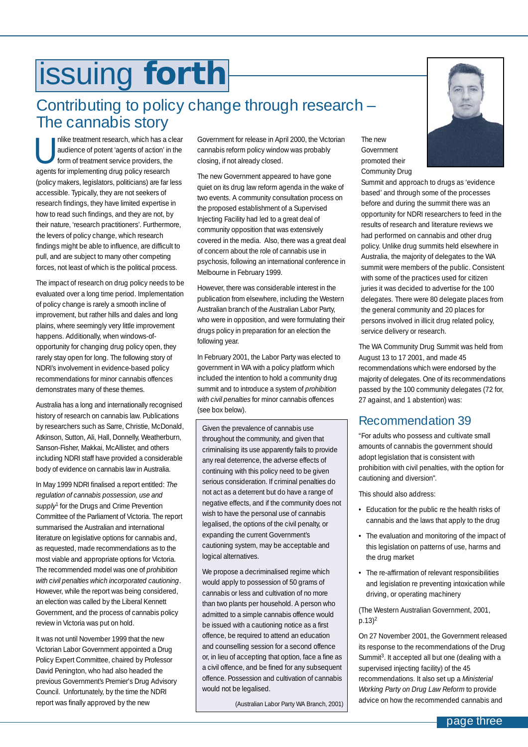# <span id="page-2-0"></span>issuing **forth**

### Contributing to policy change through research – The cannabis story

nlike treatment research, which has a clear<br>audience of potent 'agents of action' in the<br>form of treatment service providers, the audience of potent 'agents of action' in the form of treatment service providers, the agents for implementing drug policy research (policy makers, legislators, politicians) are far less accessible. Typically, they are not seekers of research findings, they have limited expertise in how to read such findings, and they are not, by their nature, 'research practitioners'. Furthermore, the levers of policy change, which research findings might be able to influence, are difficult to pull, and are subject to many other competing forces, not least of which is the political process.

The impact of research on drug policy needs to be evaluated over a long time period. Implementation of policy change is rarely a smooth incline of improvement, but rather hills and dales and long plains, where seemingly very little improvement happens. Additionally, when windows-ofopportunity for changing drug policy open, they rarely stay open for long. The following story of NDRI's involvement in evidence-based policy recommendations for minor cannabis offences demonstrates many of these themes.

Australia has a long and internationally recognised history of research on cannabis law. Publications by researchers such as Sarre, Christie, McDonald, Atkinson, Sutton, Ali, Hall, Donnelly, Weatherburn, Sanson-Fisher, Makkai, McAllister, and others including NDRI staff have provided a considerable body of evidence on cannabis law in Australia.

In May 1999 NDRI finalised a report entitled: *The regulation of cannabis possession, use and supply*<sup>1</sup> for the Drugs and Crime Prevention Committee of the Parliament of Victoria. The report summarised the Australian and international literature on legislative options for cannabis and, as requested, made recommendations as to the most viable and appropriate options for Victoria. The recommended model was one of *prohibition with civil penalties which incorporated cautioning*. However, while the report was being considered, an election was called by the Liberal Kennett Government, and the process of cannabis policy review in Victoria was put on hold.

It was not until November 1999 that the new Victorian Labor Government appointed a Drug Policy Expert Committee, chaired by Professor David Penington, who had also headed the previous Government's Premier's Drug Advisory Council. Unfortunately, by the time the NDRI report was finally approved by the new

Government for release in April 2000, the Victorian cannabis reform policy window was probably closing, if not already closed.

The new Government appeared to have gone quiet on its drug law reform agenda in the wake of two events. A community consultation process on the proposed establishment of a Supervised Injecting Facility had led to a great deal of community opposition that was extensively covered in the media. Also, there was a great deal of concern about the role of cannabis use in psychosis, following an international conference in Melbourne in February 1999.

However, there was considerable interest in the publication from elsewhere, including the Western Australian branch of the Australian Labor Party, who were in opposition, and were formulating their drugs policy in preparation for an election the following year.

In February 2001, the Labor Party was elected to government in WA with a policy platform which included the intention to hold a community drug summit and to introduce a system of *prohibition with civil penalties* for minor cannabis offences (see box below).

Given the prevalence of cannabis use throughout the community, and given that criminalising its use apparently fails to provide any real deterrence, the adverse effects of continuing with this policy need to be given serious consideration. If criminal penalties do not act as a deterrent but do have a range of negative effects, and if the community does not wish to have the personal use of cannabis legalised, the options of the civil penalty, or expanding the current Government's cautioning system, may be acceptable and logical alternatives.

We propose a decriminalised regime which would apply to possession of 50 grams of cannabis or less and cultivation of no more than two plants per household. A person who admitted to a simple cannabis offence would be issued with a cautioning notice as a first offence, be required to attend an education and counselling session for a second offence or, in lieu of accepting that option, face a fine as a civil offence, and be fined for any subsequent offence. Possession and cultivation of cannabis would not be legalised.

(Australian Labor Party WA Branch, 2001)



The new

Summit and approach to drugs as 'evidence based' and through some of the processes before and during the summit there was an opportunity for NDRI researchers to feed in the results of research and literature reviews we had performed on cannabis and other drug policy. Unlike drug summits held elsewhere in Australia, the majority of delegates to the WA summit were members of the public. Consistent with some of the practices used for citizen juries it was decided to advertise for the 100 delegates. There were 80 delegate places from the general community and 20 places for persons involved in illicit drug related policy, service delivery or research.

The WA Community Drug Summit was held from August 13 to 17 2001, and made 45 recommendations which were endorsed by the majority of delegates. One of its recommendations passed by the 100 community delegates (72 for, 27 against, and 1 abstention) was:

#### Recommendation 39

"For adults who possess and cultivate small amounts of cannabis the government should adopt legislation that is consistent with prohibition with civil penalties, with the option for cautioning and diversion".

This should also address:

- Education for the public re the health risks of cannabis and the laws that apply to the drug
- The evaluation and monitoring of the impact of this legislation on patterns of use, harms and the drug market
- The re-affirmation of relevant responsibilities and legislation re preventing intoxication while driving, or operating machinery

(The Western Australian Government, 2001,  $p.13$ <sup>2</sup>

On 27 November 2001, the Government released its response to the recommendations of the Drug Summit<sup>3</sup>. It accepted all but one (dealing with a supervised injecting facility) of the 45 recommendations. It also set up a *Ministerial Working Party on Drug Law Reform* to provide advice on how the recommended cannabis and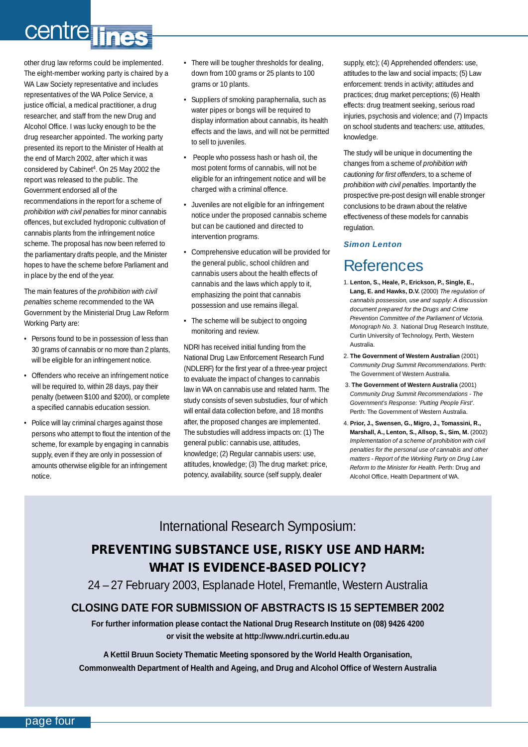# centre lines

other drug law reforms could be implemented. The eight-member working party is chaired by a WA Law Society representative and includes representatives of the WA Police Service, a justice official, a medical practitioner, a drug researcher, and staff from the new Drug and Alcohol Office. I was lucky enough to be the drug researcher appointed. The working party presented its report to the Minister of Health at the end of March 2002, after which it was considered by Cabinet<sup>4</sup>. On 25 May 2002 the report was released to the public. The Government endorsed all of the recommendations in the report for a scheme of *prohibition with civil penalties* for minor cannabis offences, but excluded hydroponic cultivation of cannabis plants from the infringement notice scheme. The proposal has now been referred to the parliamentary drafts people, and the Minister hopes to have the scheme before Parliament and in place by the end of the year.

The main features of the *prohibition with civil penalties* scheme recommended to the WA Government by the Ministerial Drug Law Reform Working Party are:

- Persons found to be in possession of less than 30 grams of cannabis or no more than 2 plants, will be eligible for an infringement notice.
- Offenders who receive an infringement notice will be required to, within 28 days, pay their penalty (between \$100 and \$200), or complete a specified cannabis education session.
- Police will lay criminal charges against those persons who attempt to flout the intention of the scheme, for example by engaging in cannabis supply, even if they are only in possession of amounts otherwise eligible for an infringement notice.
- There will be tougher thresholds for dealing, down from 100 grams or 25 plants to 100 grams or 10 plants.
- Suppliers of smoking paraphernalia, such as water pipes or bongs will be required to display information about cannabis, its health effects and the laws, and will not be permitted to sell to juveniles.
- People who possess hash or hash oil, the most potent forms of cannabis, will not be eligible for an infringement notice and will be charged with a criminal offence.
- Juveniles are not eligible for an infringement notice under the proposed cannabis scheme but can be cautioned and directed to intervention programs.
- Comprehensive education will be provided for the general public, school children and cannabis users about the health effects of cannabis and the laws which apply to it, emphasizing the point that cannabis possession and use remains illegal.
- The scheme will be subject to ongoing monitoring and review.

NDRI has received initial funding from the National Drug Law Enforcement Research Fund (NDLERF) for the first year of a three-year project to evaluate the impact of changes to cannabis law in WA on cannabis use and related harm. The study consists of seven substudies, four of which will entail data collection before, and 18 months after, the proposed changes are implemented. The substudies will address impacts on: (1) The general public: cannabis use, attitudes, knowledge; (2) Regular cannabis users: use, attitudes, knowledge; (3) The drug market: price, potency, availability, source (self supply, dealer

supply, etc); (4) Apprehended offenders: use, attitudes to the law and social impacts; (5) Law enforcement: trends in activity; attitudes and practices; drug market perceptions; (6) Health effects: drug treatment seeking, serious road injuries, psychosis and violence; and (7) Impacts on school students and teachers: use, attitudes, knowledge.

The study will be unique in documenting the changes from a scheme of *prohibition with cautioning for first offenders*, to a scheme of *prohibition with civil penalties*. Importantly the prospective pre-post design will enable stronger conclusions to be drawn about the relative effectiveness of these models for cannabis regulation.

#### *Simon Lenton*

### References

- 1. **Lenton, S., Heale, P., Erickson, P., Single, E., Lang, E. and Hawks, D.V.** (2000) *The regulation of cannabis possession, use and supply: A discussion document prepared for the Drugs and Crime Prevention Committee of the Parliament of Victoria. Monograph No. 3*. National Drug Research Institute, Curtin University of Technology, Perth, Western Australia.
- 2. **The Government of Western Australian** (2001) *Community Drug Summit Recommendations*. Perth: The Government of Western Australia.
- 3. **The Government of Western Australia** (2001) *Community Drug Summit Recommendations - The Government's Response: 'Putting People First'*. Perth: The Government of Western Australia.
- 4. **Prior, J., Swensen, G., Migro, J., Tomassini, R., Marshall, A., Lenton, S., Allsop, S., Sim, M.** (2002) *Implementation of a scheme of prohibition with civil penalties for the personal use of cannabis and other matters - Report of the Working Party on Drug Law Reform to the Minister for Health*. Perth: Drug and Alcohol Office, Health Department of WA.

### International Research Symposium:

### **PREVENTING SUBSTANCE USE, RISKY USE AND HARM: WHAT IS EVIDENCE-BASED POLICY?**

24 – 27 February 2003, Esplanade Hotel, Fremantle, Western Australia

#### **CLOSING DATE FOR SUBMISSION OF ABSTRACTS IS 15 SEPTEMBER 2002**

**For further information please contact the National Drug Research Institute on (08) 9426 4200 or visit the website at http://www.ndri.curtin.edu.au**

**A Kettil Bruun Society Thematic Meeting sponsored by the World Health Organisation, Commonwealth Department of Health and Ageing, and Drug and Alcohol Office of Western Australia**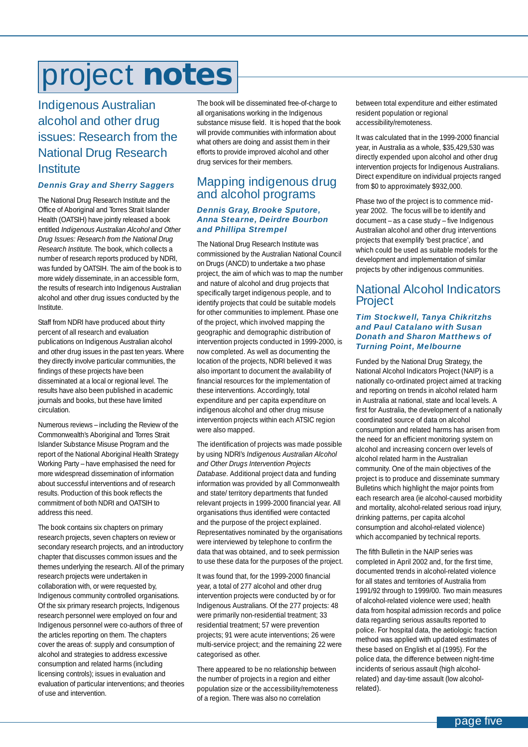# <span id="page-4-0"></span>project **notes**

Indigenous Australian alcohol and other drug issues: Research from the National Drug Research **Institute** 

#### *Dennis Gray and Sherry Saggers*

The National Drug Research Institute and the Office of Aboriginal and Torres Strait Islander Health (OATSIH) have jointly released a book entitled *Indigenous Australian Alcohol and Other Drug Issues: Research from the National Drug Research Institute.* The book, which collects a number of research reports produced by NDRI, was funded by OATSIH. The aim of the book is to more widely disseminate, in an accessible form, the results of research into Indigenous Australian alcohol and other drug issues conducted by the Institute.

Staff from NDRI have produced about thirty percent of all research and evaluation publications on Indigenous Australian alcohol and other drug issues in the past ten years. Where they directly involve particular communities, the findings of these projects have been disseminated at a local or regional level. The results have also been published in academic journals and books, but these have limited circulation.

Numerous reviews – including the Review of the Commonwealth's Aboriginal and Torres Strait Islander Substance Misuse Program and the report of the National Aboriginal Health Strategy Working Party – have emphasised the need for more widespread dissemination of information about successful interventions and of research results. Production of this book reflects the commitment of both NDRI and OATSIH to address this need.

The book contains six chapters on primary research projects, seven chapters on review or secondary research projects, and an introductory chapter that discusses common issues and the themes underlying the research. All of the primary research projects were undertaken in collaboration with, or were requested by, Indigenous community controlled organisations. Of the six primary research projects, Indigenous research personnel were employed on four and Indigenous personnel were co-authors of three of the articles reporting on them. The chapters cover the areas of: supply and consumption of alcohol and strategies to address excessive consumption and related harms (including licensing controls); issues in evaluation and evaluation of particular interventions; and theories of use and intervention.

The book will be disseminated free-of-charge to all organisations working in the Indigenous substance misuse field. It is hoped that the book will provide communities with information about what others are doing and assist them in their efforts to provide improved alcohol and other drug services for their members.

#### Mapping indigenous drug and alcohol programs

#### *Dennis Gray, Brooke Sputore, Anna Stearne, Deirdre Bourbon and Phillipa Strempel*

The National Drug Research Institute was commissioned by the Australian National Council on Drugs (ANCD) to undertake a two phase project, the aim of which was to map the number and nature of alcohol and drug projects that specifically target indigenous people, and to identify projects that could be suitable models for other communities to implement. Phase one of the project, which involved mapping the geographic and demographic distribution of intervention projects conducted in 1999-2000, is now completed. As well as documenting the location of the projects, NDRI believed it was also important to document the availability of financial resources for the implementation of these interventions. Accordingly, total expenditure and per capita expenditure on indigenous alcohol and other drug misuse intervention projects within each ATSIC region were also mapped.

The identification of projects was made possible by using NDRI's *Indigenous Australian Alcohol and Other Drugs Intervention Projects Database*. Additional project data and funding information was provided by all Commonwealth and state/ territory departments that funded relevant projects in 1999-2000 financial year. All organisations thus identified were contacted and the purpose of the project explained. Representatives nominated by the organisations were interviewed by telephone to confirm the data that was obtained, and to seek permission to use these data for the purposes of the project.

It was found that, for the 1999-2000 financial year, a total of 277 alcohol and other drug intervention projects were conducted by or for Indigenous Australians. Of the 277 projects: 48 were primarily non-residential treatment; 33 residential treatment; 57 were prevention projects; 91 were acute interventions; 26 were multi-service project; and the remaining 22 were categorised as other.

There appeared to be no relationship between the number of projects in a region and either population size or the accessibility/remoteness of a region. There was also no correlation

between total expenditure and either estimated resident population or regional accessibility/remoteness.

It was calculated that in the 1999-2000 financial year, in Australia as a whole, \$35,429,530 was directly expended upon alcohol and other drug intervention projects for Indigenous Australians. Direct expenditure on individual projects ranged from \$0 to approximately \$932,000.

Phase two of the project is to commence midyear 2002. The focus will be to identify and document – as a case study – five Indigenous Australian alcohol and other drug interventions projects that exemplify 'best practice', and which could be used as suitable models for the development and implementation of similar projects by other indigenous communities.

#### National Alcohol Indicators Project

#### *Tim Stockwell, Tanya Chikritzhs and Paul Catalano with Susan Donath and Sharon Matthews of Turning Point, Melbourne*

Funded by the National Drug Strategy, the National Alcohol Indicators Project (NAIP) is a nationally co-ordinated project aimed at tracking and reporting on trends in alcohol related harm in Australia at national, state and local levels. A first for Australia, the development of a nationally coordinated source of data on alcohol consumption and related harms has arisen from the need for an efficient monitoring system on alcohol and increasing concern over levels of alcohol related harm in the Australian community. One of the main objectives of the project is to produce and disseminate summary Bulletins which highlight the major points from each research area (ie alcohol-caused morbidity and mortality, alcohol-related serious road injury, drinking patterns, per capita alcohol consumption and alcohol-related violence) which accompanied by technical reports.

The fifth Bulletin in the NAIP series was completed in April 2002 and, for the first time, documented trends in alcohol-related violence for all states and territories of Australia from 1991/92 through to 1999/00. Two main measures of alcohol-related violence were used; health data from hospital admission records and police data regarding serious assaults reported to police. For hospital data, the aetiologic fraction method was applied with updated estimates of these based on English et al (1995). For the police data, the difference between night-time incidents of serious assault (high alcoholrelated) and day-time assault (low alcoholrelated).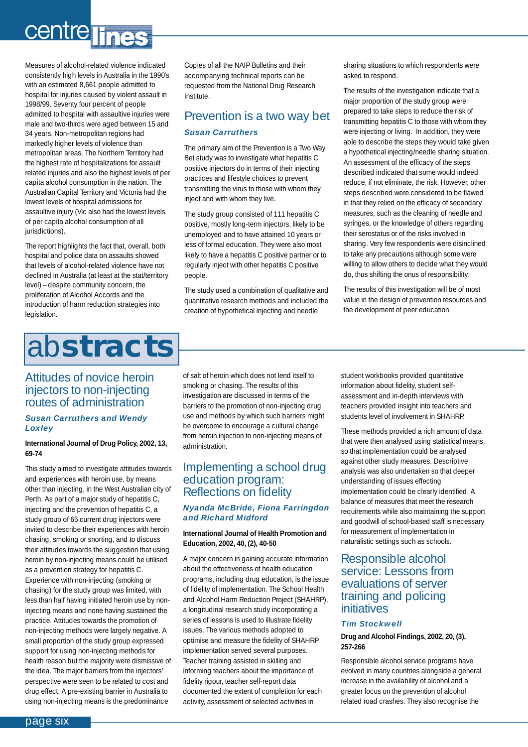# <span id="page-5-0"></span>centre lines

Measures of alcohol-related violence indicated consistently high levels in Australia in the 1990's with an estimated 8,661 people admitted to hospital for injuries caused by violent assault in 1998/99. Seventy four percent of people admitted to hospital with assaultive injuries were male and two-thirds were aged between 15 and 34 years. Non-metropolitan regions had markedly higher levels of violence than metropolitan areas. The Northern Territory had the highest rate of hospitalizations for assault related injuries and also the highest levels of per capita alcohol consumption in the nation. The Australian Capital Territory and Victoria had the lowest levels of hospital admissions for assaultive injury (Vic also had the lowest levels of per capita alcohol consumption of all jurisdictions).

The report highlights the fact that, overall, both hospital and police data on assaults showed that levels of alcohol-related violence have not declined in Australia (at least at the stat/territory level) – despite community concern, the proliferation of Alcohol Accords and the introduction of harm reduction strategies into legislation.

# ab**stracts**

#### Attitudes of novice heroin injectors to non-injecting routes of administration

#### *Susan Carruthers and Wendy Loxley*

#### **International Journal of Drug Policy, 2002, 13, 69-74**

This study aimed to investigate attitudes towards and experiences with heroin use, by means other than injecting, in the West Australian city of Perth. As part of a major study of hepatitis C, injecting and the prevention of hepatitis C, a study group of 65 current drug injectors were invited to describe their experiences with heroin chasing, smoking or snorting, and to discuss their attitudes towards the suggestion that using heroin by non-injecting means could be utilised as a prevention strategy for hepatitis C. Experience with non-injecting (smoking or chasing) for the study group was limited, with less than half having initiated heroin use by noninjecting means and none having sustained the practice. Attitudes towards the promotion of non-injecting methods were largely negative. A small proportion of the study group expressed support for using non-injecting methods for health reason but the majority were dismissive of the idea. The major barriers from the injectors' perspective were seen to be related to cost and drug effect. A pre-existing barrier in Australia to using non-injecting means is the predominance

Copies of all the NAIP Bulletins and their accompanying technical reports can be requested from the National Drug Research Institute.

### Prevention is a two way bet *Susan Carruthers*

The primary aim of the Prevention is a Two Way Bet study was to investigate what hepatitis C positive injectors do in terms of their injecting practices and lifestyle choices to prevent transmitting the virus to those with whom they inject and with whom they live.

The study group consisted of 111 hepatitis C positive, mostly long-term injectors, likely to be unemployed and to have attained 10 years or less of formal education. They were also most likely to have a hepatitis C positive partner or to regularly inject with other hepatitis C positive people.

The study used a combination of qualitative and quantitative research methods and included the creation of hypothetical injecting and needle

sharing situations to which respondents were asked to respond.

The results of the investigation indicate that a major proportion of the study group were prepared to take steps to reduce the risk of transmitting hepatitis C to those with whom they were injecting or living. In addition, they were able to describe the steps they would take given a hypothetical injecting/needle sharing situation. An assessment of the efficacy of the steps described indicated that some would indeed reduce, if not eliminate, the risk. However, other steps described were considered to be flawed in that they relied on the efficacy of secondary measures, such as the cleaning of needle and syringes, or the knowledge of others regarding their serostatus or of the risks involved in sharing. Very few respondents were disinclined to take any precautions although some were willing to allow others to decide what they would do, thus shifting the onus of responsibility.

The results of this investigation will be of most value in the design of prevention resources and the development of peer education.

of salt of heroin which does not lend itself to smoking or chasing. The results of this investigation are discussed in terms of the barriers to the promotion of non-injecting drug use and methods by which such barriers might be overcome to encourage a cultural change from heroin injection to non-injecting means of administration.

#### Implementing a school drug education program: Reflections on fidelity

#### *Nyanda McBride, Fiona Farringdon and Richard Midford*

#### **International Journal of Health Promotion and Education, 2002, 40, (2), 40-50**

A major concern in gaining accurate information about the effectiveness of health education programs, including drug education, is the issue of fidelity of implementation. The School Health and Alcohol Harm Reduction Project (SHAHRP), a longitudinal research study incorporating a series of lessons is used to illustrate fidelity issues. The various methods adopted to optimise and measure the fidelity of SHAHRP implementation served several purposes. Teacher training assisted in skilling and informing teachers about the importance of fidelity rigour, teacher self-report data documented the extent of completion for each activity, assessment of selected activities in

student workbooks provided quantitative information about fidelity, student selfassessment and in-depth interviews with teachers provided insight into teachers and students level of involvement in SHAHRP.

These methods provided a rich amount of data that were then analysed using statistical means, so that implementation could be analysed against other study measures. Descriptive analysis was also undertaken so that deeper understanding of issues effecting implementation could be clearly identified. A balance of measures that meet the research requirements while also maintaining the support and goodwill of school-based staff is necessary for measurement of implementation in naturalistic settings such as schools.

#### Responsible alcohol service: Lessons from evaluations of server training and policing initiatives

#### *Tim Stockwell*

#### **Drug and Alcohol Findings, 2002, 20, (3), 257-266**

Responsible alcohol service programs have evolved in many countries alongside a general increase in the availability of alcohol and a greater focus on the prevention of alcohol related road crashes. They also recognise the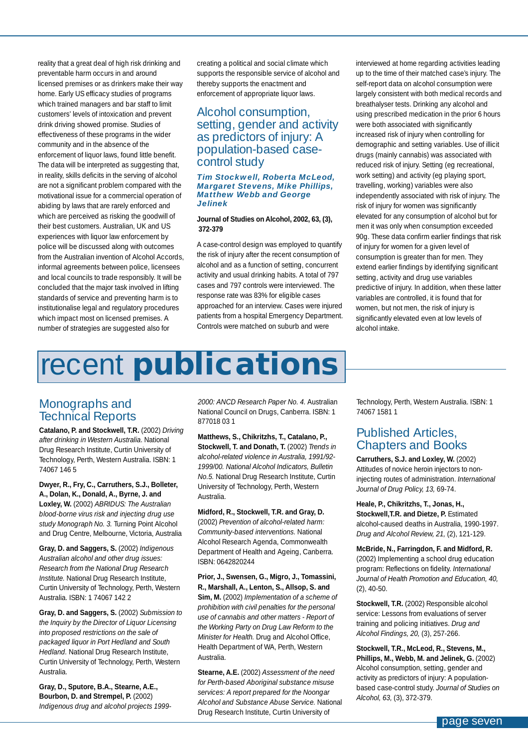<span id="page-6-0"></span>reality that a great deal of high risk drinking and preventable harm occurs in and around licensed premises or as drinkers make their way home. Early US efficacy studies of programs which trained managers and bar staff to limit customers' levels of intoxication and prevent drink driving showed promise. Studies of effectiveness of these programs in the wider community and in the absence of the enforcement of liquor laws, found little benefit. The data will be interpreted as suggesting that, in reality, skills deficits in the serving of alcohol are not a significant problem compared with the motivational issue for a commercial operation of abiding by laws that are rarely enforced and which are perceived as risking the goodwill of their best customers. Australian, UK and US experiences with liquor law enforcement by police will be discussed along with outcomes from the Australian invention of Alcohol Accords, informal agreements between police, licensees and local councils to trade responsibly. It will be concluded that the major task involved in lifting standards of service and preventing harm is to institutionalise legal and regulatory procedures which impact most on licensed premises. A number of strategies are suggested also for

creating a political and social climate which supports the responsible service of alcohol and thereby supports the enactment and enforcement of appropriate liquor laws.

#### Alcohol consumption, setting, gender and activity as predictors of injury: A population-based casecontrol study

#### *Tim Stockwell, Roberta McLeod, Margaret Stevens, Mike Phillips, Matthew Webb and George Jelinek*

#### **Journal of Studies on Alcohol, 2002, 63, (3), 372-379**

A case-control design was employed to quantify the risk of injury after the recent consumption of alcohol and as a function of setting, concurrent activity and usual drinking habits. A total of 797 cases and 797 controls were interviewed. The response rate was 83% for eligible cases approached for an interview. Cases were injured patients from a hospital Emergency Department. Controls were matched on suburb and were

interviewed at home regarding activities leading up to the time of their matched case's injury. The self-report data on alcohol consumption were largely consistent with both medical records and breathalyser tests. Drinking any alcohol and using prescribed medication in the prior 6 hours were both associated with significantly increased risk of injury when controlling for demographic and setting variables. Use of illicit drugs (mainly cannabis) was associated with reduced risk of injury. Setting (eg recreational, work setting) and activity (eg playing sport, travelling, working) variables were also independently associated with risk of injury. The risk of injury for women was significantly elevated for any consumption of alcohol but for men it was only when consumption exceeded 90g. These data confirm earlier findings that risk of injury for women for a given level of consumption is greater than for men. They extend earlier findings by identifying significant setting, activity and drug use variables predictive of injury. In addition, when these latter variables are controlled, it is found that for women, but not men, the risk of injury is significantly elevated even at low levels of alcohol intake.

# recent **publications**

#### Monographs and Technical Reports

**Catalano, P. and Stockwell, T.R.** (2002) *Driving after drinking in Western Australia*. National Drug Research Institute, Curtin University of Technology, Perth, Western Australia. ISBN: 1 74067 146 5

**Dwyer, R., Fry, C., Carruthers, S.J., Bolleter, A., Dolan, K., Donald, A., Byrne, J. and Loxley, W.** (2002) *ABRIDUS: The Australian blood-borne virus risk and injecting drug use study Monograph No. 3.* Turning Point Alcohol and Drug Centre, Melbourne, Victoria, Australia

**Gray, D. and Saggers, S.** (2002) *Indigenous Australian alcohol and other drug issues: Research from the National Drug Research Institute.* National Drug Research Institute, Curtin University of Technology, Perth, Western Australia. ISBN: 1 74067 142 2

**Gray, D. and Saggers, S.** (2002) *Submission to the Inquiry by the Director of Liquor Licensing into proposed restrictions on the sale of packaged liquor in Port Hedland and South Hedland.* National Drug Research Institute, Curtin University of Technology, Perth, Western Australia.

**Gray, D., Sputore, B.A., Stearne, A.E., Bourbon, D. and Strempel, P.** (2002) *Indigenous drug and alcohol projects 1999-* *2000: ANCD Research Paper No. 4.* Australian National Council on Drugs, Canberra. ISBN: 1 877018 03 1

**Matthews, S., Chikritzhs, T., Catalano, P., Stockwell, T. and Donath, T.** (2002) *Trends in alcohol-related violence in Australia, 1991/92- 1999/00. National Alcohol Indicators, Bulletin No.5.* National Drug Research Institute, Curtin University of Technology, Perth, Western Australia.

#### **Midford, R., Stockwell, T.R. and Gray, D.**

(2002) *Prevention of alcohol-related harm: Community-based interventions.* National Alcohol Research Agenda, Commonwealth Department of Health and Ageing, Canberra. ISBN: 0642820244

**Prior, J., Swensen, G., Migro, J., Tomassini, R., Marshall, A., Lenton, S., Allsop, S. and**

**Sim, M.** (2002) *Implementation of a scheme of prohibition with civil penalties for the personal use of cannabis and other matters - Report of the Working Party on Drug Law Reform to the Minister for Health.* Drug and Alcohol Office, Health Department of WA, Perth, Western Australia.

**Stearne, A.E.** (2002) *Assessment of the need for Perth-based Aboriginal substance misuse services: A report prepared for the Noongar Alcohol and Substance Abuse Service.* National Drug Research Institute, Curtin University of

Technology, Perth, Western Australia. ISBN: 1 74067 1581 1

#### Published Articles, Chapters and Books

**Carruthers, S.J. and Loxley, W.** (2002) Attitudes of novice heroin injectors to noninjecting routes of administration. *International Journal of Drug Policy, 13,* 69-74.

**Heale, P., Chikritzhs, T., Jonas, H., Stockwell, T.R. and Dietze, P. Estimated** alcohol-caused deaths in Australia, 1990-1997. *Drug and Alcohol Review, 21,* (2), 121-129.

**McBride, N., Farringdon, F. and Midford, R.** (2002) Implementing a school drug education program: Reflections on fidelity. *International Journal of Health Promotion and Education, 40,* (2), 40-50.

**Stockwell, T.R.** (2002) Responsible alcohol service: Lessons from evaluations of server training and policing initiatives. *Drug and Alcohol Findings, 20,* (3), 257-266.

**Stockwell, T.R., McLeod, R., Stevens, M., Phillips, M., Webb, M. and Jelinek, G.** (2002) Alcohol consumption, setting, gender and activity as predictors of injury: A populationbased case-control study. *Journal of Studies on Alcohol, 63,* (3), 372-379.